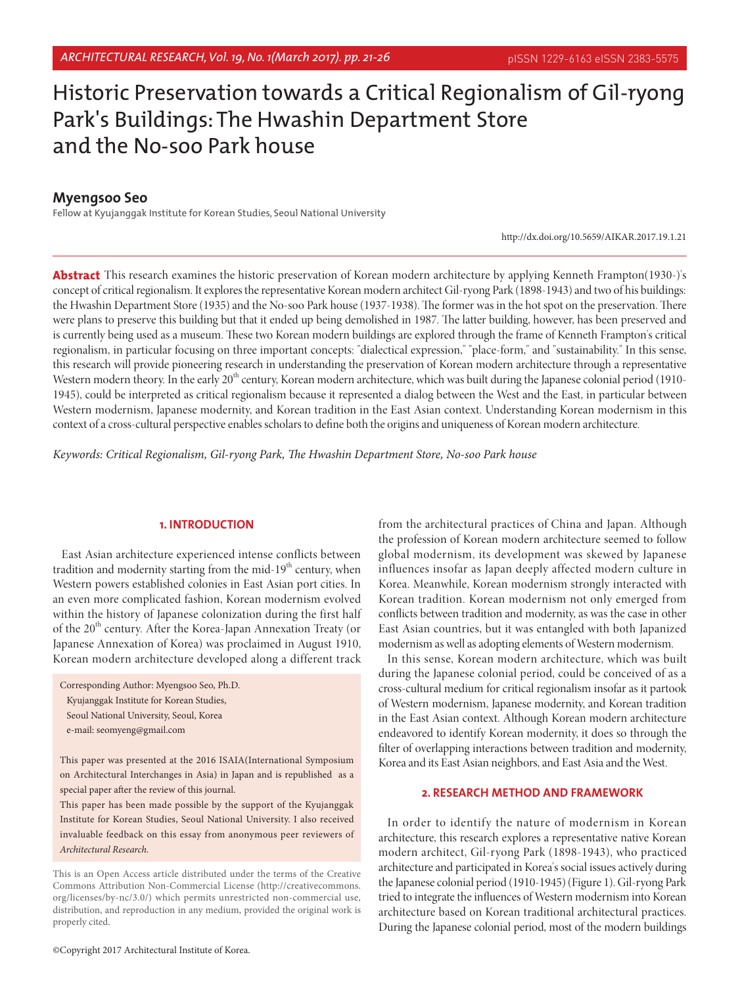# Historic Preservation towards a Critical Regionalism of Gil-ryong Park's Buildings: The Hwashin Department Store and the No-soo Park house

# **Myengsoo Seo**

Fellow at Kyujanggak Institute for Korean Studies, Seoul National University

http://dx.doi.org/10.5659/AIKAR.2017.19.1.21

**Abstract** This research examines the historic preservation of Korean modern architecture by applying Kenneth Frampton(1930-)'s concept of critical regionalism. It explores the representative Korean modern architect Gil-ryong Park (1898-1943) and two of his buildings: the Hwashin Department Store (1935) and the No-soo Park house (1937-1938). The former was in the hot spot on the preservation. There were plans to preserve this building but that it ended up being demolished in 1987. The latter building, however, has been preserved and is currently being used as a museum. These two Korean modern buildings are explored through the frame of Kenneth Frampton's critical regionalism, in particular focusing on three important concepts: "dialectical expression," "place-form," and "sustainability." In this sense, this research will provide pioneering research in understanding the preservation of Korean modern architecture through a representative Western modern theory. In the early 20<sup>th</sup> century, Korean modern architecture, which was built during the Japanese colonial period (1910-1945), could be interpreted as critical regionalism because it represented a dialog between the West and the East, in particular between Western modernism, Japanese modernity, and Korean tradition in the East Asian context. Understanding Korean modernism in this context of a cross-cultural perspective enables scholars to define both the origins and uniqueness of Korean modern architecture.

*Keywords: Critical Regionalism, Gil-ryong Park, The Hwashin Department Store, No-soo Park house*

## **1. INTRODUCTION**

East Asian architecture experienced intense conflicts between tradition and modernity starting from the mid-19<sup>th</sup> century, when Western powers established colonies in East Asian port cities. In an even more complicated fashion, Korean modernism evolved within the history of Japanese colonization during the first half of the 20<sup>th</sup> century. After the Korea-Japan Annexation Treaty (or Japanese Annexation of Korea) was proclaimed in August 1910, Korean modern architecture developed along a different track

Corresponding Author: Myengsoo Seo, Ph.D. Kyujanggak Institute for Korean Studies, Seoul National University, Seoul, Korea e-mail: seomyeng@gmail.com

This paper was presented at the 2016 ISAIA(International Symposium on Architectural Interchanges in Asia) in Japan and is republished as a special paper after the review of this journal.

This paper has been made possible by the support of the Kyujanggak Institute for Korean Studies, Seoul National University. I also received invaluable feedback on this essay from anonymous peer reviewers of *Architectural Research.*

This is an Open Access article distributed under the terms of the Creative Commons Attribution Non-Commercial License (http://creativecommons. org/licenses/by-nc/3.0/) which permits unrestricted non-commercial use, distribution, and reproduction in any medium, provided the original work is properly cited.

from the architectural practices of China and Japan. Although the profession of Korean modern architecture seemed to follow global modernism, its development was skewed by Japanese influences insofar as Japan deeply affected modern culture in Korea. Meanwhile, Korean modernism strongly interacted with Korean tradition. Korean modernism not only emerged from conflicts between tradition and modernity, as was the case in other East Asian countries, but it was entangled with both Japanized modernism as well as adopting elements of Western modernism.

In this sense, Korean modern architecture, which was built during the Japanese colonial period, could be conceived of as a cross-cultural medium for critical regionalism insofar as it partook of Western modernism, Japanese modernity, and Korean tradition in the East Asian context. Although Korean modern architecture endeavored to identify Korean modernity, it does so through the filter of overlapping interactions between tradition and modernity, Korea and its East Asian neighbors, and East Asia and the West.

# **2. RESEARCH METHOD AND FRAMEWORK**

In order to identify the nature of modernism in Korean architecture, this research explores a representative native Korean modern architect, Gil-ryong Park (1898-1943), who practiced architecture and participated in Korea's social issues actively during the Japanese colonial period (1910-1945) (Figure 1). Gil-ryong Park tried to integrate the influences of Western modernism into Korean architecture based on Korean traditional architectural practices. During the Japanese colonial period, most of the modern buildings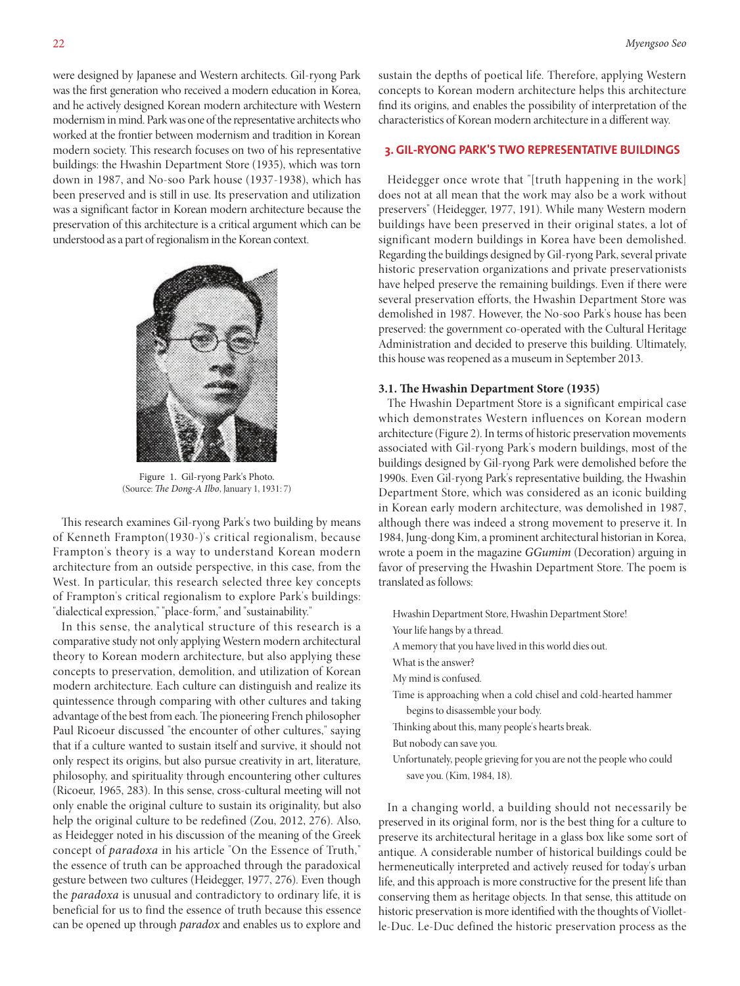were designed by Japanese and Western architects. Gil-ryong Park was the first generation who received a modern education in Korea, and he actively designed Korean modern architecture with Western modernism in mind. Park was one of the representative architects who worked at the frontier between modernism and tradition in Korean modern society. This research focuses on two of his representative buildings: the Hwashin Department Store (1935), which was torn down in 1987, and No-soo Park house (1937-1938), which has been preserved and is still in use. Its preservation and utilization was a significant factor in Korean modern architecture because the preservation of this architecture is a critical argument which can be understood as a part of regionalism in the Korean context.



Figure 1. Gil-ryong Park's Photo. (Source: *The Dong-A Ilbo*, January 1, 1931: 7)

This research examines Gil-ryong Park's two building by means of Kenneth Frampton(1930-)'s critical regionalism, because Frampton's theory is a way to understand Korean modern architecture from an outside perspective, in this case, from the West. In particular, this research selected three key concepts of Frampton's critical regionalism to explore Park's buildings: "dialectical expression," "place-form," and "sustainability."

In this sense, the analytical structure of this research is a comparative study not only applying Western modern architectural theory to Korean modern architecture, but also applying these concepts to preservation, demolition, and utilization of Korean modern architecture. Each culture can distinguish and realize its quintessence through comparing with other cultures and taking advantage of the best from each. The pioneering French philosopher Paul Ricoeur discussed "the encounter of other cultures," saying that if a culture wanted to sustain itself and survive, it should not only respect its origins, but also pursue creativity in art, literature, philosophy, and spirituality through encountering other cultures (Ricoeur, 1965, 283). In this sense, cross-cultural meeting will not only enable the original culture to sustain its originality, but also help the original culture to be redefined (Zou, 2012, 276). Also, as Heidegger noted in his discussion of the meaning of the Greek concept of *paradoxa* in his article "On the Essence of Truth," the essence of truth can be approached through the paradoxical gesture between two cultures (Heidegger, 1977, 276). Even though the *paradoxa* is unusual and contradictory to ordinary life, it is beneficial for us to find the essence of truth because this essence can be opened up through *paradox* and enables us to explore and sustain the depths of poetical life. Therefore, applying Western concepts to Korean modern architecture helps this architecture find its origins, and enables the possibility of interpretation of the characteristics of Korean modern architecture in a different way.

## **3. GIL-RYONG PARK'S TWO REPRESENTATIVE BUILDINGS**

Heidegger once wrote that "[truth happening in the work] does not at all mean that the work may also be a work without preservers" (Heidegger, 1977, 191). While many Western modern buildings have been preserved in their original states, a lot of significant modern buildings in Korea have been demolished. Regarding the buildings designed by Gil-ryong Park, several private historic preservation organizations and private preservationists have helped preserve the remaining buildings. Even if there were several preservation efforts, the Hwashin Department Store was demolished in 1987. However, the No-soo Park's house has been preserved: the government co-operated with the Cultural Heritage Administration and decided to preserve this building. Ultimately, this house was reopened as a museum in September 2013.

#### **3.1. The Hwashin Department Store (1935)**

The Hwashin Department Store is a significant empirical case which demonstrates Western influences on Korean modern architecture (Figure 2). In terms of historic preservation movements associated with Gil-ryong Park's modern buildings, most of the buildings designed by Gil-ryong Park were demolished before the 1990s. Even Gil-ryong Park's representative building, the Hwashin Department Store, which was considered as an iconic building in Korean early modern architecture, was demolished in 1987, although there was indeed a strong movement to preserve it. In 1984, Jung-dong Kim, a prominent architectural historian in Korea, wrote a poem in the magazine *GGumim* (Decoration) arguing in favor of preserving the Hwashin Department Store. The poem is translated as follows:

- Hwashin Department Store, Hwashin Department Store!
- Your life hangs by a thread.
- A memory that you have lived in this world dies out.
- What is the answer?
- My mind is confused.
- Time is approaching when a cold chisel and cold-hearted hammer begins to disassemble your body.
- Thinking about this, many people's hearts break.
- But nobody can save you.
- Unfortunately, people grieving for you are not the people who could save you. (Kim, 1984, 18).

In a changing world, a building should not necessarily be preserved in its original form, nor is the best thing for a culture to preserve its architectural heritage in a glass box like some sort of antique. A considerable number of historical buildings could be hermeneutically interpreted and actively reused for today's urban life, and this approach is more constructive for the present life than conserving them as heritage objects. In that sense, this attitude on historic preservation is more identified with the thoughts of Violletle-Duc. Le-Duc defined the historic preservation process as the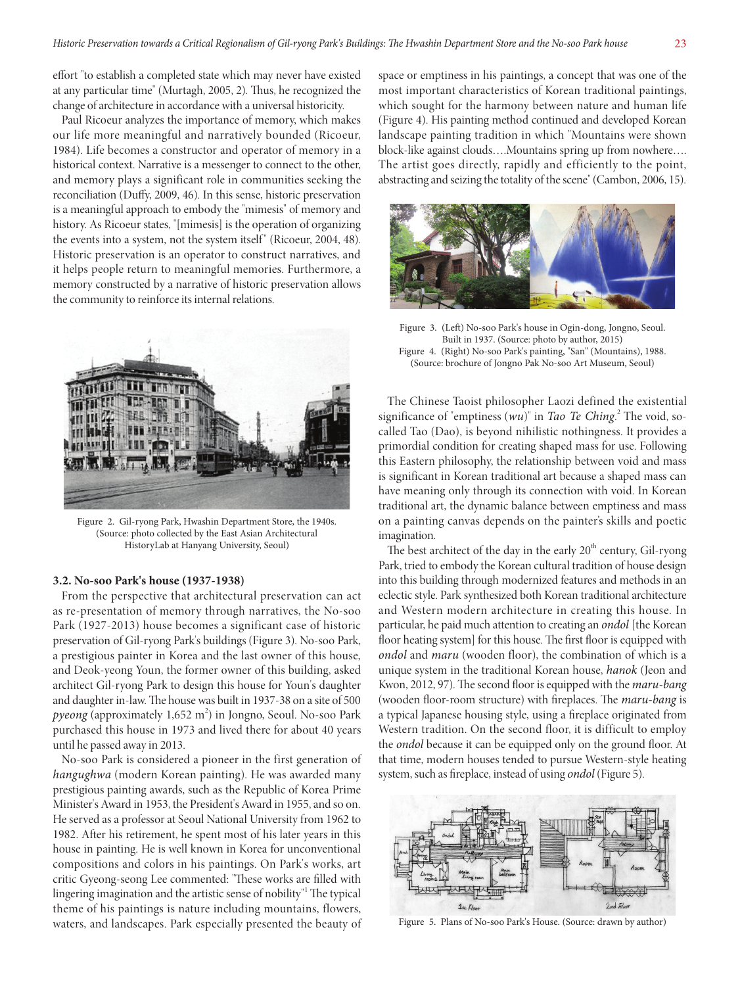effort "to establish a completed state which may never have existed at any particular time" (Murtagh, 2005, 2). Thus, he recognized the change of architecture in accordance with a universal historicity.

Paul Ricoeur analyzes the importance of memory, which makes our life more meaningful and narratively bounded (Ricoeur, 1984). Life becomes a constructor and operator of memory in a historical context. Narrative is a messenger to connect to the other, and memory plays a significant role in communities seeking the reconciliation (Duffy, 2009, 46). In this sense, historic preservation is a meaningful approach to embody the "mimesis" of memory and history. As Ricoeur states, "[mimesis] is the operation of organizing the events into a system, not the system itself" (Ricoeur, 2004, 48). Historic preservation is an operator to construct narratives, and it helps people return to meaningful memories. Furthermore, a memory constructed by a narrative of historic preservation allows the community to reinforce its internal relations.



Figure 2. Gil-ryong Park, Hwashin Department Store, the 1940s. (Source: photo collected by the East Asian Architectural HistoryLab at Hanyang University, Seoul)

#### **3.2. No-soo Park's house (1937-1938)**

From the perspective that architectural preservation can act as re-presentation of memory through narratives, the No-soo Park (1927-2013) house becomes a significant case of historic preservation of Gil-ryong Park's buildings (Figure 3). No-soo Park, a prestigious painter in Korea and the last owner of this house, and Deok-yeong Youn, the former owner of this building, asked architect Gil-ryong Park to design this house for Youn's daughter and daughter in-law. The house was built in 1937-38 on a site of 500 pyeong (approximately 1,652 m<sup>2</sup>) in Jongno, Seoul. No-soo Park purchased this house in 1973 and lived there for about 40 years until he passed away in 2013.

No-soo Park is considered a pioneer in the first generation of *hangughwa* (modern Korean painting). He was awarded many prestigious painting awards, such as the Republic of Korea Prime Minister's Award in 1953, the President's Award in 1955, and so on. He served as a professor at Seoul National University from 1962 to 1982. After his retirement, he spent most of his later years in this house in painting. He is well known in Korea for unconventional compositions and colors in his paintings. On Park's works, art critic Gyeong-seong Lee commented: "These works are filled with lingering imagination and the artistic sense of nobility"<sup>1</sup> The typical theme of his paintings is nature including mountains, flowers, waters, and landscapes. Park especially presented the beauty of

space or emptiness in his paintings, a concept that was one of the most important characteristics of Korean traditional paintings, which sought for the harmony between nature and human life (Figure 4). His painting method continued and developed Korean landscape painting tradition in which "Mountains were shown block-like against clouds….Mountains spring up from nowhere…. The artist goes directly, rapidly and efficiently to the point, abstracting and seizing the totality of the scene" (Cambon, 2006, 15).



Figure 3. (Left) No-soo Park's house in Ogin-dong, Jongno, Seoul. Built in 1937. (Source: photo by author, 2015) Figure 4. (Right) No-soo Park's painting, "San" (Mountains), 1988. (Source: brochure of Jongno Pak No-soo Art Museum, Seoul)

The Chinese Taoist philosopher Laozi defined the existential significance of "emptiness (wu)" in *Tao Te Ching*.<sup>2</sup> The void, socalled Tao (Dao), is beyond nihilistic nothingness. It provides a primordial condition for creating shaped mass for use. Following this Eastern philosophy, the relationship between void and mass is significant in Korean traditional art because a shaped mass can have meaning only through its connection with void. In Korean traditional art, the dynamic balance between emptiness and mass on a painting canvas depends on the painter's skills and poetic imagination.

The best architect of the day in the early  $20<sup>th</sup>$  century, Gil-ryong Park, tried to embody the Korean cultural tradition of house design into this building through modernized features and methods in an eclectic style. Park synthesized both Korean traditional architecture and Western modern architecture in creating this house. In particular, he paid much attention to creating an *ondol* [the Korean floor heating system] for this house. The first floor is equipped with *ondol* and *maru* (wooden floor), the combination of which is a unique system in the traditional Korean house, *hanok* (Jeon and Kwon, 2012, 97). The second floor is equipped with the *maru-bang*  (wooden floor-room structure) with fireplaces. The *maru-bang* is a typical Japanese housing style, using a fireplace originated from Western tradition. On the second floor, it is difficult to employ the *ondol* because it can be equipped only on the ground floor. At that time, modern houses tended to pursue Western-style heating system, such as fireplace, instead of using *ondol* (Figure 5).



Figure 5. Plans of No-soo Park's House. (Source: drawn by author)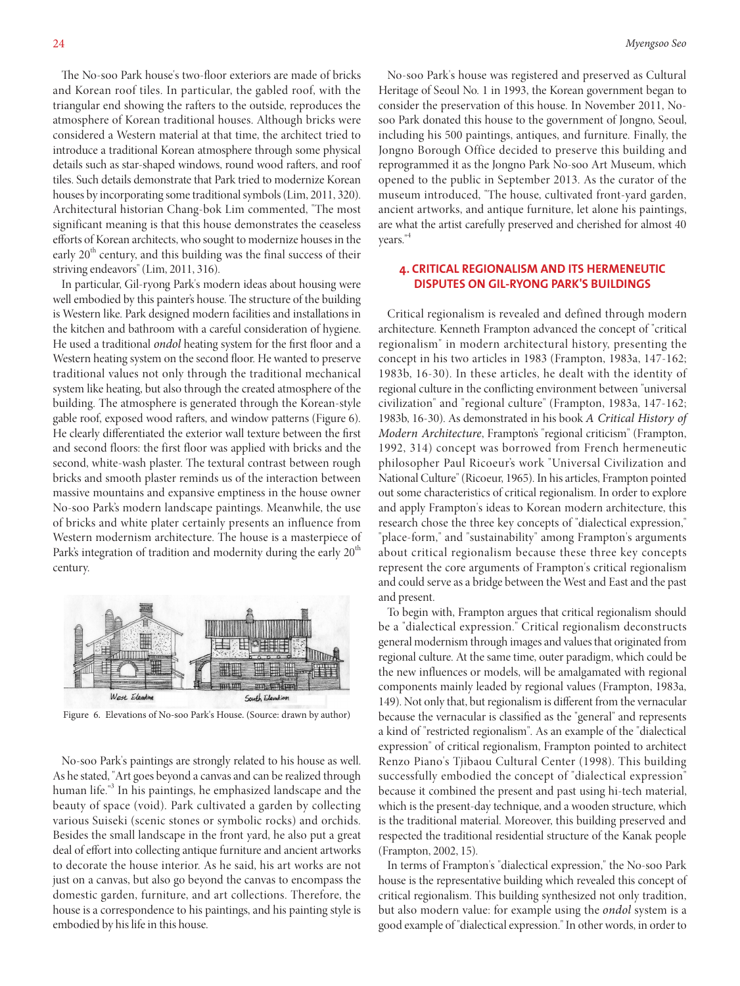The No-soo Park house's two-floor exteriors are made of bricks and Korean roof tiles. In particular, the gabled roof, with the triangular end showing the rafters to the outside, reproduces the atmosphere of Korean traditional houses. Although bricks were considered a Western material at that time, the architect tried to introduce a traditional Korean atmosphere through some physical details such as star-shaped windows, round wood rafters, and roof tiles. Such details demonstrate that Park tried to modernize Korean houses by incorporating some traditional symbols (Lim, 2011, 320). Architectural historian Chang-bok Lim commented, "The most significant meaning is that this house demonstrates the ceaseless efforts of Korean architects, who sought to modernize houses in the early  $20<sup>th</sup>$  century, and this building was the final success of their striving endeavors" (Lim, 2011, 316).

In particular, Gil-ryong Park's modern ideas about housing were well embodied by this painter's house. The structure of the building is Western like. Park designed modern facilities and installations in the kitchen and bathroom with a careful consideration of hygiene. He used a traditional *ondol* heating system for the first floor and a Western heating system on the second floor. He wanted to preserve traditional values not only through the traditional mechanical system like heating, but also through the created atmosphere of the building. The atmosphere is generated through the Korean-style gable roof, exposed wood rafters, and window patterns (Figure 6). He clearly differentiated the exterior wall texture between the first and second floors: the first floor was applied with bricks and the second, white-wash plaster. The textural contrast between rough bricks and smooth plaster reminds us of the interaction between massive mountains and expansive emptiness in the house owner No-soo Park's modern landscape paintings. Meanwhile, the use of bricks and white plater certainly presents an influence from Western modernism architecture. The house is a masterpiece of Park's integration of tradition and modernity during the early  $20<sup>th</sup>$ century.



Figure 6. Elevations of No-soo Park's House. (Source: drawn by author)

No-soo Park's paintings are strongly related to his house as well. As he stated, "Art goes beyond a canvas and can be realized through human life."<sup>3</sup> In his paintings, he emphasized landscape and the beauty of space (void). Park cultivated a garden by collecting various Suiseki (scenic stones or symbolic rocks) and orchids. Besides the small landscape in the front yard, he also put a great deal of effort into collecting antique furniture and ancient artworks to decorate the house interior. As he said, his art works are not just on a canvas, but also go beyond the canvas to encompass the domestic garden, furniture, and art collections. Therefore, the house is a correspondence to his paintings, and his painting style is embodied by his life in this house.

No-soo Park's house was registered and preserved as Cultural Heritage of Seoul No. 1 in 1993, the Korean government began to consider the preservation of this house. In November 2011, Nosoo Park donated this house to the government of Jongno, Seoul, including his 500 paintings, antiques, and furniture. Finally, the Jongno Borough Office decided to preserve this building and reprogrammed it as the Jongno Park No-soo Art Museum, which opened to the public in September 2013. As the curator of the museum introduced, "The house, cultivated front-yard garden, ancient artworks, and antique furniture, let alone his paintings, are what the artist carefully preserved and cherished for almost 40 years."4

## **4. CRITICAL REGIONALISM AND ITS HERMENEUTIC DISPUTES ON GIL-RYONG PARK'S BUILDINGS**

Critical regionalism is revealed and defined through modern architecture. Kenneth Frampton advanced the concept of "critical regionalism" in modern architectural history, presenting the concept in his two articles in 1983 (Frampton, 1983a, 147-162; 1983b, 16-30). In these articles, he dealt with the identity of regional culture in the conflicting environment between "universal civilization" and "regional culture" (Frampton, 1983a, 147-162; 1983b, 16-30). As demonstrated in his book *A Critical History of Modern Architecture*, Frampton's "regional criticism" (Frampton, 1992, 314) concept was borrowed from French hermeneutic philosopher Paul Ricoeur's work "Universal Civilization and National Culture" (Ricoeur, 1965). In his articles, Frampton pointed out some characteristics of critical regionalism. In order to explore and apply Frampton's ideas to Korean modern architecture, this research chose the three key concepts of "dialectical expression," "place-form," and "sustainability" among Frampton's arguments about critical regionalism because these three key concepts represent the core arguments of Frampton's critical regionalism and could serve as a bridge between the West and East and the past and present.

To begin with, Frampton argues that critical regionalism should be a "dialectical expression." Critical regionalism deconstructs general modernism through images and values that originated from regional culture. At the same time, outer paradigm, which could be the new influences or models, will be amalgamated with regional components mainly leaded by regional values (Frampton, 1983a, 149). Not only that, but regionalism is different from the vernacular because the vernacular is classified as the "general" and represents a kind of "restricted regionalism". As an example of the "dialectical expression" of critical regionalism, Frampton pointed to architect Renzo Piano's Tjibaou Cultural Center (1998). This building successfully embodied the concept of "dialectical expression" because it combined the present and past using hi-tech material, which is the present-day technique, and a wooden structure, which is the traditional material. Moreover, this building preserved and respected the traditional residential structure of the Kanak people (Frampton, 2002, 15).

In terms of Frampton's "dialectical expression," the No-soo Park house is the representative building which revealed this concept of critical regionalism. This building synthesized not only tradition, but also modern value: for example using the *ondol* system is a good example of "dialectical expression." In other words, in order to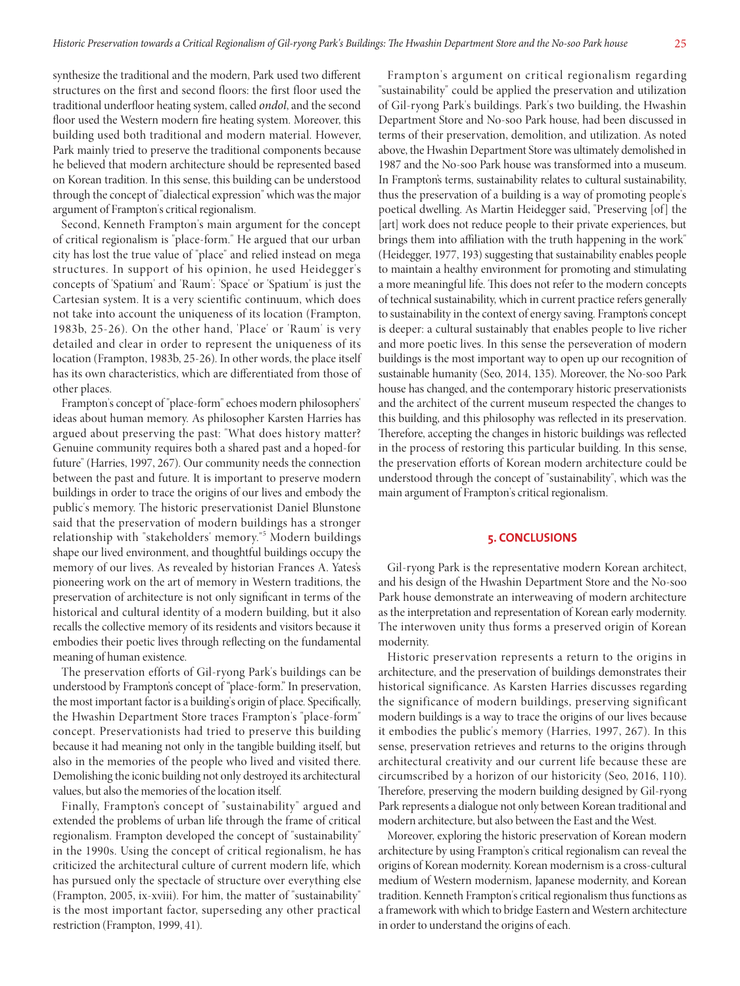synthesize the traditional and the modern, Park used two different structures on the first and second floors: the first floor used the traditional underfloor heating system, called *ondol*, and the second floor used the Western modern fire heating system. Moreover, this building used both traditional and modern material. However, Park mainly tried to preserve the traditional components because he believed that modern architecture should be represented based on Korean tradition. In this sense, this building can be understood through the concept of "dialectical expression" which was the major argument of Frampton's critical regionalism.

Second, Kenneth Frampton's main argument for the concept of critical regionalism is "place-form." He argued that our urban city has lost the true value of "place" and relied instead on mega structures. In support of his opinion, he used Heidegger's concepts of 'Spatium' and 'Raum': 'Space' or 'Spatium' is just the Cartesian system. It is a very scientific continuum, which does not take into account the uniqueness of its location (Frampton, 1983b, 25-26). On the other hand, 'Place' or 'Raum' is very detailed and clear in order to represent the uniqueness of its location (Frampton, 1983b, 25-26). In other words, the place itself has its own characteristics, which are differentiated from those of other places.

Frampton's concept of "place-form" echoes modern philosophers' ideas about human memory. As philosopher Karsten Harries has argued about preserving the past: "What does history matter? Genuine community requires both a shared past and a hoped-for future" (Harries, 1997, 267). Our community needs the connection between the past and future. It is important to preserve modern buildings in order to trace the origins of our lives and embody the public's memory. The historic preservationist Daniel Blunstone said that the preservation of modern buildings has a stronger relationship with "stakeholders' memory."<sup>5</sup> Modern buildings shape our lived environment, and thoughtful buildings occupy the memory of our lives. As revealed by historian Frances A. Yates's pioneering work on the art of memory in Western traditions, the preservation of architecture is not only significant in terms of the historical and cultural identity of a modern building, but it also recalls the collective memory of its residents and visitors because it embodies their poetic lives through reflecting on the fundamental meaning of human existence.

The preservation efforts of Gil-ryong Park's buildings can be understood by Frampton's concept of "place-form." In preservation, the most important factor is a building's origin of place. Specifically, the Hwashin Department Store traces Frampton's "place-form" concept. Preservationists had tried to preserve this building because it had meaning not only in the tangible building itself, but also in the memories of the people who lived and visited there. Demolishing the iconic building not only destroyed its architectural values, but also the memories of the location itself.

Finally, Frampton's concept of "sustainability" argued and extended the problems of urban life through the frame of critical regionalism. Frampton developed the concept of "sustainability" in the 1990s. Using the concept of critical regionalism, he has criticized the architectural culture of current modern life, which has pursued only the spectacle of structure over everything else (Frampton, 2005, ix-xviii). For him, the matter of "sustainability" is the most important factor, superseding any other practical restriction (Frampton, 1999, 41).

Frampton's argument on critical regionalism regarding "sustainability" could be applied the preservation and utilization of Gil-ryong Park's buildings. Park's two building, the Hwashin Department Store and No-soo Park house, had been discussed in terms of their preservation, demolition, and utilization. As noted above, the Hwashin Department Store was ultimately demolished in 1987 and the No-soo Park house was transformed into a museum. In Frampton's terms, sustainability relates to cultural sustainability, thus the preservation of a building is a way of promoting people's poetical dwelling. As Martin Heidegger said, "Preserving [of ] the [art] work does not reduce people to their private experiences, but brings them into affiliation with the truth happening in the work" (Heidegger, 1977, 193) suggesting that sustainability enables people to maintain a healthy environment for promoting and stimulating a more meaningful life. This does not refer to the modern concepts of technical sustainability, which in current practice refers generally to sustainability in the context of energy saving. Frampton's concept is deeper: a cultural sustainably that enables people to live richer and more poetic lives. In this sense the perseveration of modern buildings is the most important way to open up our recognition of sustainable humanity (Seo, 2014, 135). Moreover, the No-soo Park house has changed, and the contemporary historic preservationists and the architect of the current museum respected the changes to this building, and this philosophy was reflected in its preservation. Therefore, accepting the changes in historic buildings was reflected in the process of restoring this particular building. In this sense, the preservation efforts of Korean modern architecture could be understood through the concept of "sustainability", which was the main argument of Frampton's critical regionalism.

#### **5. CONCLUSIONS**

Gil-ryong Park is the representative modern Korean architect, and his design of the Hwashin Department Store and the No-soo Park house demonstrate an interweaving of modern architecture as the interpretation and representation of Korean early modernity. The interwoven unity thus forms a preserved origin of Korean modernity.

Historic preservation represents a return to the origins in architecture, and the preservation of buildings demonstrates their historical significance. As Karsten Harries discusses regarding the significance of modern buildings, preserving significant modern buildings is a way to trace the origins of our lives because it embodies the public's memory (Harries, 1997, 267). In this sense, preservation retrieves and returns to the origins through architectural creativity and our current life because these are circumscribed by a horizon of our historicity (Seo, 2016, 110). Therefore, preserving the modern building designed by Gil-ryong Park represents a dialogue not only between Korean traditional and modern architecture, but also between the East and the West.

Moreover, exploring the historic preservation of Korean modern architecture by using Frampton's critical regionalism can reveal the origins of Korean modernity. Korean modernism is a cross-cultural medium of Western modernism, Japanese modernity, and Korean tradition. Kenneth Frampton's critical regionalism thus functions as a framework with which to bridge Eastern and Western architecture in order to understand the origins of each.